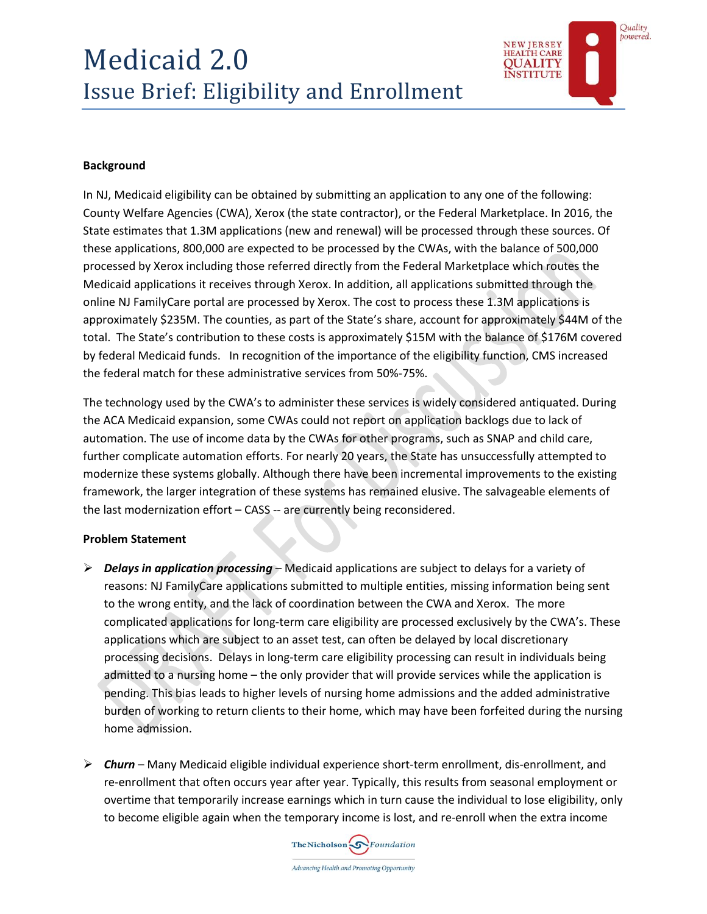

# **Background**

In NJ, Medicaid eligibility can be obtained by submitting an application to any one of the following: County Welfare Agencies (CWA), Xerox (the state contractor), or the Federal Marketplace. In 2016, the State estimates that 1.3M applications (new and renewal) will be processed through these sources. Of these applications, 800,000 are expected to be processed by the CWAs, with the balance of 500,000 processed by Xerox including those referred directly from the Federal Marketplace which routes the Medicaid applications it receives through Xerox. In addition, all applications submitted through the online NJ FamilyCare portal are processed by Xerox. The cost to process these 1.3M applications is approximately \$235M. The counties, as part of the State's share, account for approximately \$44M of the total. The State's contribution to these costs is approximately \$15M with the balance of \$176M covered by federal Medicaid funds. In recognition of the importance of the eligibility function, CMS increased the federal match for these administrative services from 50%-75%.

The technology used by the CWA's to administer these services is widely considered antiquated. During the ACA Medicaid expansion, some CWAs could not report on application backlogs due to lack of automation. The use of income data by the CWAs for other programs, such as SNAP and child care, further complicate automation efforts. For nearly 20 years, the State has unsuccessfully attempted to modernize these systems globally. Although there have been incremental improvements to the existing framework, the larger integration of these systems has remained elusive. The salvageable elements of the last modernization effort – CASS -- are currently being reconsidered.

## **Problem Statement**

- *Delays in application processing* Medicaid applications are subject to delays for a variety of reasons: NJ FamilyCare applications submitted to multiple entities, missing information being sent to the wrong entity, and the lack of coordination between the CWA and Xerox. The more complicated applications for long-term care eligibility are processed exclusively by the CWA's. These applications which are subject to an asset test, can often be delayed by local discretionary processing decisions. Delays in long-term care eligibility processing can result in individuals being admitted to a nursing home – the only provider that will provide services while the application is pending. This bias leads to higher levels of nursing home admissions and the added administrative burden of working to return clients to their home, which may have been forfeited during the nursing home admission.
- *Churn* Many Medicaid eligible individual experience short-term enrollment, dis-enrollment, and re-enrollment that often occurs year after year. Typically, this results from seasonal employment or overtime that temporarily increase earnings which in turn cause the individual to lose eligibility, only to become eligible again when the temporary income is lost, and re-enroll when the extra income

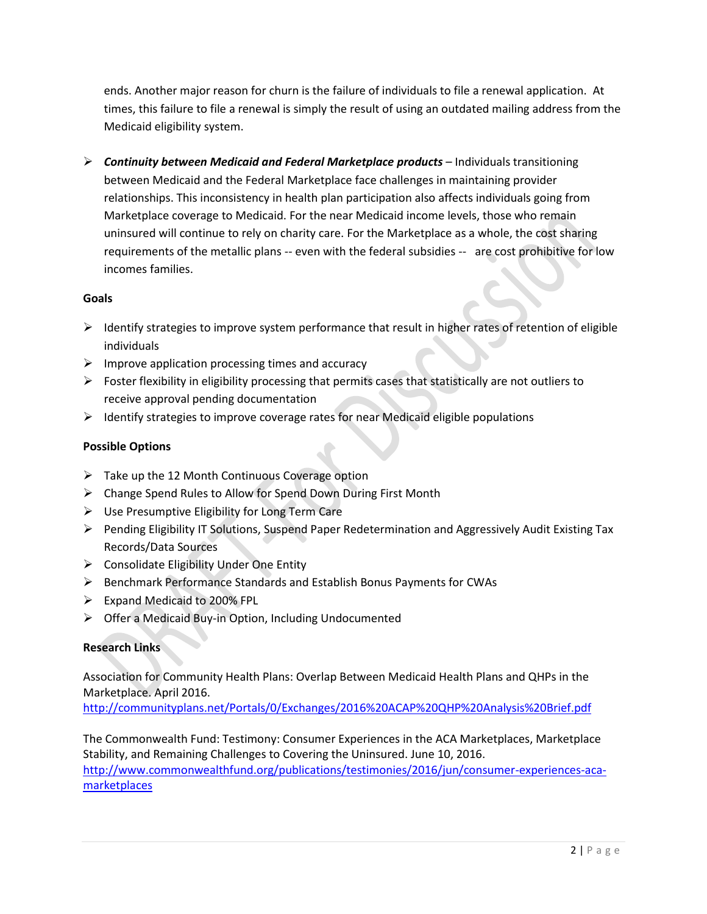ends. Another major reason for churn is the failure of individuals to file a renewal application. At times, this failure to file a renewal is simply the result of using an outdated mailing address from the Medicaid eligibility system.

 *Continuity between Medicaid and Federal Marketplace products* – Individuals transitioning between Medicaid and the Federal Marketplace face challenges in maintaining provider relationships. This inconsistency in health plan participation also affects individuals going from Marketplace coverage to Medicaid. For the near Medicaid income levels, those who remain uninsured will continue to rely on charity care. For the Marketplace as a whole, the cost sharing requirements of the metallic plans -- even with the federal subsidies -- are cost prohibitive for low incomes families.

## **Goals**

- $\triangleright$  Identify strategies to improve system performance that result in higher rates of retention of eligible individuals
- $\triangleright$  Improve application processing times and accuracy
- $\triangleright$  Foster flexibility in eligibility processing that permits cases that statistically are not outliers to receive approval pending documentation
- $\triangleright$  Identify strategies to improve coverage rates for near Medicaid eligible populations

## **Possible Options**

- $\triangleright$  Take up the 12 Month Continuous Coverage option
- Change Spend Rules to Allow for Spend Down During First Month
- $\triangleright$  Use Presumptive Eligibility for Long Term Care
- $\triangleright$  Pending Eligibility IT Solutions, Suspend Paper Redetermination and Aggressively Audit Existing Tax Records/Data Sources
- $\triangleright$  Consolidate Eligibility Under One Entity
- Benchmark Performance Standards and Establish Bonus Payments for CWAs
- Expand Medicaid to 200% FPL
- Offer a Medicaid Buy-in Option, Including Undocumented

## **Research Links**

Association for Community Health Plans: Overlap Between Medicaid Health Plans and QHPs in the Marketplace. April 2016.

<http://communityplans.net/Portals/0/Exchanges/2016%20ACAP%20QHP%20Analysis%20Brief.pdf>

The Commonwealth Fund: Testimony: Consumer Experiences in the ACA Marketplaces, Marketplace Stability, and Remaining Challenges to Covering the Uninsured. June 10, 2016. [http://www.commonwealthfund.org/publications/testimonies/2016/jun/consumer-experiences-aca](http://www.commonwealthfund.org/publications/testimonies/2016/jun/consumer-experiences-aca-marketplaces)[marketplaces](http://www.commonwealthfund.org/publications/testimonies/2016/jun/consumer-experiences-aca-marketplaces)